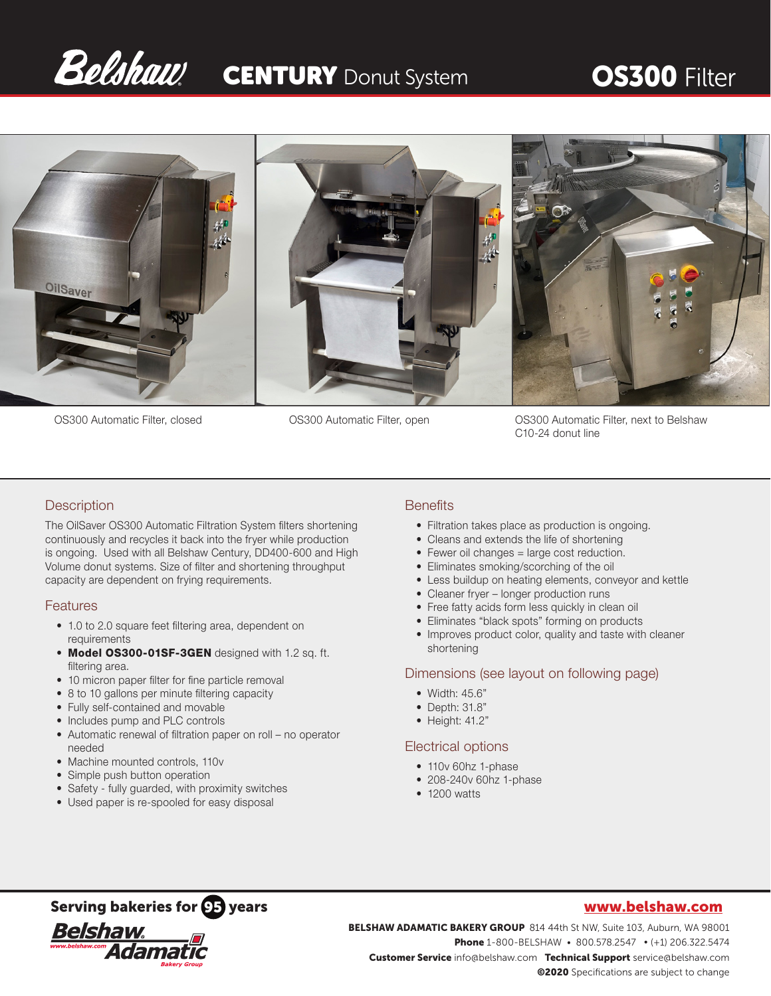# Belshaw CENTURY Donut System OS300 Filter



OS300 Automatic Filter, closed OS300 Automatic Filter, open OS300 Automatic Filter, next to Belshaw C10-24 donut line

# **Description**

The OilSaver OS300 Automatic Filtration System filters shortening continuously and recycles it back into the fryer while production is ongoing. Used with all Belshaw Century, DD400-600 and High Volume donut systems. Size of filter and shortening throughput capacity are dependent on frying requirements.

### Features

- 1.0 to 2.0 square feet filtering area, dependent on requirements
- Model OS300-01SF-3GEN designed with 1.2 sq. ft. filtering area.
- 10 micron paper filter for fine particle removal
- 8 to 10 gallons per minute filtering capacity
- Fully self-contained and movable
- Includes pump and PLC controls
- Automatic renewal of filtration paper on roll no operator needed
- Machine mounted controls, 110v
- Simple push button operation
- Safety fully guarded, with proximity switches
- Used paper is re-spooled for easy disposal

### **Benefits**

- Filtration takes place as production is ongoing.
- Cleans and extends the life of shortening
- Fewer oil changes = large cost reduction.
- Eliminates smoking/scorching of the oil
- Less buildup on heating elements, conveyor and kettle
- Cleaner fryer longer production runs
- Free fatty acids form less quickly in clean oil
- Eliminates "black spots" forming on products
- Improves product color, quality and taste with cleaner shortening

### Dimensions (see layout on following page)

- Width: 45.6"
- Depth: 31.8"
- Height: 41.2"

### Electrical options

- 110v 60hz 1-phase
- 208-240v 60hz 1-phase
- 1200 watts



Serving bakeries for **OF** years<br>
BELSHAW ADAMATIC BAKERY GROUP 814 44th St NW, Suite 103, Auburn, WA 9800<br>
BELSHAW ADAMATIC BAKERY GROUP 814 44th St NW, Suite 103, Auburn, WA 9800<br>
Phone 1-800-BELSHAW • 800.578.2547 • (+1) BELSHAW ADAMATIC BAKERY GROUP 814 44th St NW, Suite 103, Auburn, WA 98001 Phone 1-800-BELSHAW • 800.578.2547 • (+1) 206.322.5474 Customer Service info@belshaw.com Technical Support service@belshaw.com ©2020 Specifications are subject to change